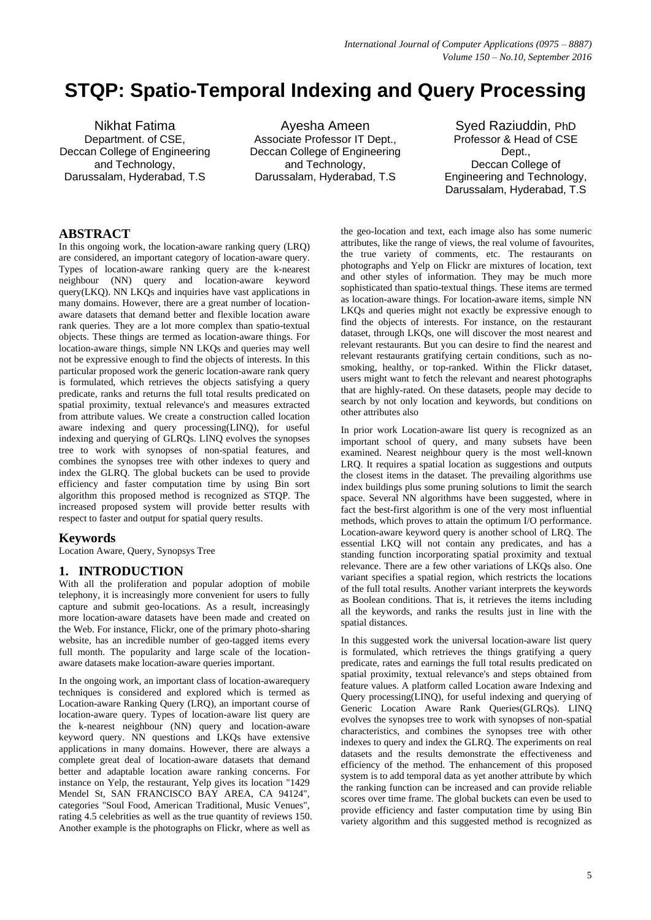# **STQP: Spatio-Temporal Indexing and Query Processing**

Nikhat Fatima Department. of CSE, Deccan College of Engineering and Technology, Darussalam, Hyderabad, T.S

Ayesha Ameen Associate Professor IT Dept., Deccan College of Engineering and Technology, Darussalam, Hyderabad, T.S

Syed Raziuddin, PhD Professor & Head of CSE Dept., Deccan College of Engineering and Technology, Darussalam, Hyderabad, T.S

# **ABSTRACT**

In this ongoing work, the location-aware ranking query (LRQ) are considered, an important category of location-aware query. Types of location-aware ranking query are the k-nearest neighbour (NN) query and location-aware keyword query(LKQ). NN LKQs and inquiries have vast applications in many domains. However, there are a great number of locationaware datasets that demand better and flexible location aware rank queries. They are a lot more complex than spatio-textual objects. These things are termed as location-aware things. For location-aware things, simple NN LKQs and queries may well not be expressive enough to find the objects of interests. In this particular proposed work the generic location-aware rank query is formulated, which retrieves the objects satisfying a query predicate, ranks and returns the full total results predicated on spatial proximity, textual relevance's and measures extracted from attribute values. We create a construction called location aware indexing and query processing(LINQ), for useful indexing and querying of GLRQs. LINQ evolves the synopses tree to work with synopses of non-spatial features, and combines the synopses tree with other indexes to query and index the GLRQ. The global buckets can be used to provide efficiency and faster computation time by using Bin sort algorithm this proposed method is recognized as STQP. The increased proposed system will provide better results with respect to faster and output for spatial query results.

## **Keywords**

Location Aware, Query, Synopsys Tree

## **1. INTRODUCTION**

With all the proliferation and popular adoption of mobile telephony, it is increasingly more convenient for users to fully capture and submit geo-locations. As a result, increasingly more location-aware datasets have been made and created on the Web. For instance, Flickr, one of the primary photo-sharing website, has an incredible number of geo-tagged items every full month. The popularity and large scale of the locationaware datasets make location-aware queries important.

In the ongoing work, an important class of location-awarequery techniques is considered and explored which is termed as Location-aware Ranking Query (LRQ), an important course of location-aware query. Types of location-aware list query are the k-nearest neighbour (NN) query and location-aware keyword query. NN questions and LKQs have extensive applications in many domains. However, there are always a complete great deal of location-aware datasets that demand better and adaptable location aware ranking concerns. For instance on Yelp, the restaurant, Yelp gives its location "1429 Mendel St, SAN FRANCISCO BAY AREA, CA 94124", categories "Soul Food, American Traditional, Music Venues", rating 4.5 celebrities as well as the true quantity of reviews 150. Another example is the photographs on Flickr, where as well as

the geo-location and text, each image also has some numeric attributes, like the range of views, the real volume of favourites, the true variety of comments, etc. The restaurants on photographs and Yelp on Flickr are mixtures of location, text and other styles of information. They may be much more sophisticated than spatio-textual things. These items are termed as location-aware things. For location-aware items, simple NN LKQs and queries might not exactly be expressive enough to find the objects of interests. For instance, on the restaurant dataset, through LKQs, one will discover the most nearest and relevant restaurants. But you can desire to find the nearest and relevant restaurants gratifying certain conditions, such as nosmoking, healthy, or top-ranked. Within the Flickr dataset, users might want to fetch the relevant and nearest photographs that are highly-rated. On these datasets, people may decide to search by not only location and keywords, but conditions on other attributes also

In prior work Location-aware list query is recognized as an important school of query, and many subsets have been examined. Nearest neighbour query is the most well-known LRQ. It requires a spatial location as suggestions and outputs the closest items in the dataset. The prevailing algorithms use index buildings plus some pruning solutions to limit the search space. Several NN algorithms have been suggested, where in fact the best-first algorithm is one of the very most influential methods, which proves to attain the optimum I/O performance. Location-aware keyword query is another school of LRQ. The essential LKQ will not contain any predicates, and has a standing function incorporating spatial proximity and textual relevance. There are a few other variations of LKQs also. One variant specifies a spatial region, which restricts the locations of the full total results. Another variant interprets the keywords as Boolean conditions. That is, it retrieves the items including all the keywords, and ranks the results just in line with the spatial distances.

In this suggested work the universal location-aware list query is formulated, which retrieves the things gratifying a query predicate, rates and earnings the full total results predicated on spatial proximity, textual relevance's and steps obtained from feature values. A platform called Location aware Indexing and Query processing(LINQ), for useful indexing and querying of Generic Location Aware Rank Queries(GLRQs). LINQ evolves the synopses tree to work with synopses of non-spatial characteristics, and combines the synopses tree with other indexes to query and index the GLRQ. The experiments on real datasets and the results demonstrate the effectiveness and efficiency of the method. The enhancement of this proposed system is to add temporal data as yet another attribute by which the ranking function can be increased and can provide reliable scores over time frame. The global buckets can even be used to provide efficiency and faster computation time by using Bin variety algorithm and this suggested method is recognized as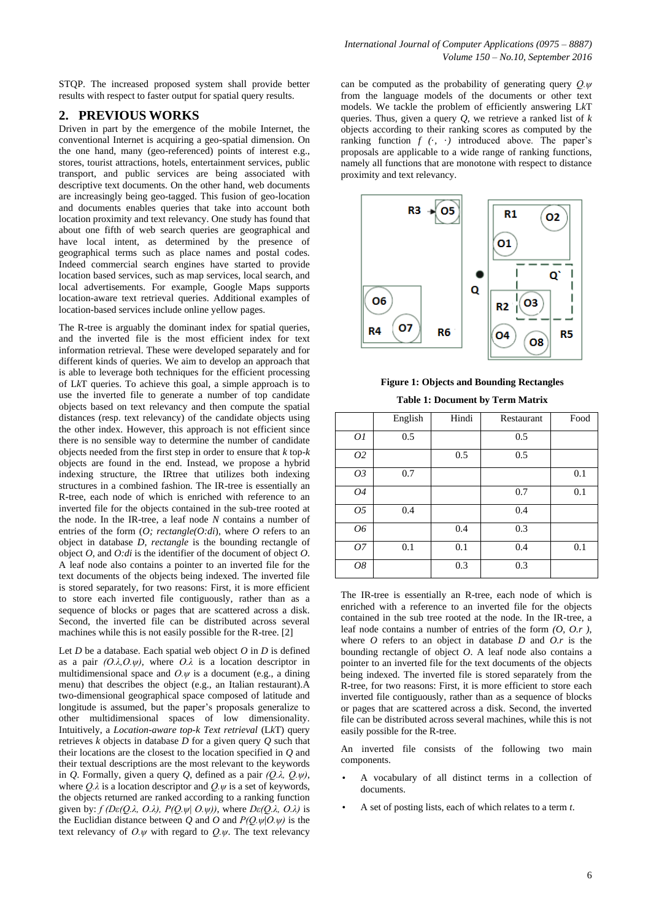STQP. The increased proposed system shall provide better results with respect to faster output for spatial query results.

## **2. PREVIOUS WORKS**

Driven in part by the emergence of the mobile Internet, the conventional Internet is acquiring a geo-spatial dimension. On the one hand, many (geo-referenced) points of interest e.g., stores, tourist attractions, hotels, entertainment services, public transport, and public services are being associated with descriptive text documents. On the other hand, web documents are increasingly being geo-tagged. This fusion of geo-location and documents enables queries that take into account both location proximity and text relevancy. One study has found that about one fifth of web search queries are geographical and have local intent, as determined by the presence of geographical terms such as place names and postal codes. Indeed commercial search engines have started to provide location based services, such as map services, local search, and local advertisements. For example, Google Maps supports location-aware text retrieval queries. Additional examples of location-based services include online yellow pages.

The R-tree is arguably the dominant index for spatial queries, and the inverted file is the most efficient index for text information retrieval. These were developed separately and for different kinds of queries. We aim to develop an approach that is able to leverage both techniques for the efficient processing of L*k*T queries. To achieve this goal, a simple approach is to use the inverted file to generate a number of top candidate objects based on text relevancy and then compute the spatial distances (resp. text relevancy) of the candidate objects using the other index. However, this approach is not efficient since there is no sensible way to determine the number of candidate objects needed from the first step in order to ensure that *k* top-*k*  objects are found in the end. Instead, we propose a hybrid indexing structure, the IRtree that utilizes both indexing structures in a combined fashion. The IR-tree is essentially an R-tree, each node of which is enriched with reference to an inverted file for the objects contained in the sub-tree rooted at the node. In the IR-tree, a leaf node *N* contains a number of entries of the form (*O; rectangle(O:di*), where *O* refers to an object in database *D*, *rectangle* is the bounding rectangle of object *O*, and *O:di* is the identifier of the document of object *O*. A leaf node also contains a pointer to an inverted file for the text documents of the objects being indexed. The inverted file is stored separately, for two reasons: First, it is more efficient to store each inverted file contiguously, rather than as a sequence of blocks or pages that are scattered across a disk. Second, the inverted file can be distributed across several machines while this is not easily possible for the R-tree. [2]

Let  $D$  be a database. Each spatial web object  $O$  in  $D$  is defined as a pair *(O.λ,O.ψ)*, where *O.λ* is a location descriptor in multidimensional space and *O.ψ* is a document (e.g., a dining menu) that describes the object (e.g., an Italian restaurant).A two-dimensional geographical space composed of latitude and longitude is assumed, but the paper's proposals generalize to other multidimensional spaces of low dimensionality. Intuitively, a *Location-aware top-k Text retrieval* (L*k*T) query retrieves *k* objects in database *D* for a given query *Q* such that their locations are the closest to the location specified in *Q* and their textual descriptions are the most relevant to the keywords in *Q*. Formally, given a query *Q*, defined as a pair *(Q.λ, Q.ψ)*, where *Q.λ* is a location descriptor and *Q.ψ* is a set of keywords, the objects returned are ranked according to a ranking function given by: *f (Dε(Q.λ, O.λ), P(Q.ψ*| *O.ψ))*, where *Dε(Q.λ, O.λ)* is the Euclidian distance between *Q* and *O* and *P(Q.ψ*|*O.ψ)* is the text relevancy of *O.ψ* with regard to *Q.ψ*. The text relevancy

can be computed as the probability of generating query *Q.ψ*  from the language models of the documents or other text models. We tackle the problem of efficiently answering L*k*T queries. Thus, given a query *Q*, we retrieve a ranked list of *k*  objects according to their ranking scores as computed by the ranking function  $f(\cdot, \cdot)$  introduced above. The paper's proposals are applicable to a wide range of ranking functions, namely all functions that are monotone with respect to distance proximity and text relevancy.



**Figure 1: Objects and Bounding Rectangles Table 1: Document by Term Matrix**

|    | English | Hindi | Restaurant | Food |
|----|---------|-------|------------|------|
| 01 | 0.5     |       | 0.5        |      |
| 02 |         | 0.5   | 0.5        |      |
| 03 | 0.7     |       |            | 0.1  |
| 04 |         |       | 0.7        | 0.1  |
| 05 | 0.4     |       | 0.4        |      |
| 06 |         | 0.4   | 0.3        |      |
| 07 | 0.1     | 0.1   | 0.4        | 0.1  |
| 08 |         | 0.3   | 0.3        |      |

The IR-tree is essentially an R-tree, each node of which is enriched with a reference to an inverted file for the objects contained in the sub tree rooted at the node. In the IR-tree, a leaf node contains a number of entries of the form *(O, O.r )*, where *O* refers to an object in database *D* and *O.r* is the bounding rectangle of object *O*. A leaf node also contains a pointer to an inverted file for the text documents of the objects being indexed. The inverted file is stored separately from the R-tree, for two reasons: First, it is more efficient to store each inverted file contiguously, rather than as a sequence of blocks or pages that are scattered across a disk. Second, the inverted file can be distributed across several machines, while this is not easily possible for the R-tree.

An inverted file consists of the following two main components.

- A vocabulary of all distinct terms in a collection of documents.
- A set of posting lists, each of which relates to a term *t*.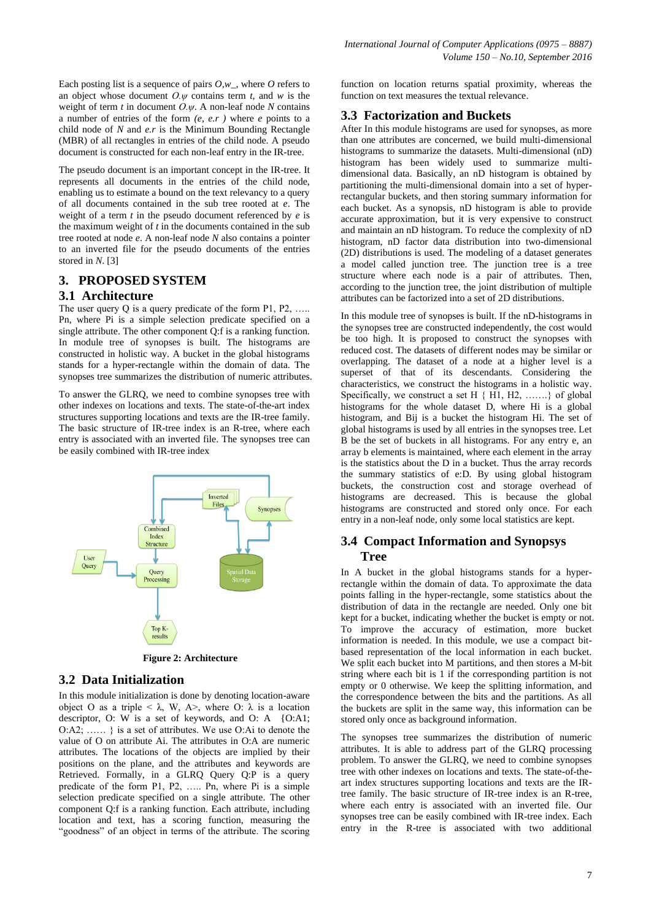Each posting list is a sequence of pairs *O,w*\_, where *O* refers to an object whose document *O.ψ* contains term *t*, and *w* is the weight of term *t* in document *O.ψ*. A non-leaf node *N* contains a number of entries of the form *(e, e.r )* where *e* points to a child node of *N* and *e.r* is the Minimum Bounding Rectangle (MBR) of all rectangles in entries of the child node. A pseudo document is constructed for each non-leaf entry in the IR-tree.

The pseudo document is an important concept in the IR-tree. It represents all documents in the entries of the child node, enabling us to estimate a bound on the text relevancy to a query of all documents contained in the sub tree rooted at *e*. The weight of a term *t* in the pseudo document referenced by *e* is the maximum weight of *t* in the documents contained in the sub tree rooted at node *e*. A non-leaf node *N* also contains a pointer to an inverted file for the pseudo documents of the entries stored in *N*. [3]

# **3. PROPOSED SYSTEM**

# **3.1 Architecture**

The user query Q is a query predicate of the form P1, P2, ..... Pn, where Pi is a simple selection predicate specified on a single attribute. The other component Q:f is a ranking function. In module tree of synopses is built. The histograms are constructed in holistic way. A bucket in the global histograms stands for a hyper-rectangle within the domain of data. The synopses tree summarizes the distribution of numeric attributes.

To answer the GLRQ, we need to combine synopses tree with other indexes on locations and texts. The state-of-the-art index structures supporting locations and texts are the IR-tree family. The basic structure of IR-tree index is an R-tree, where each entry is associated with an inverted file. The synopses tree can be easily combined with IR-tree index



**Figure 2: Architecture**

## **3.2 Data Initialization**

In this module initialization is done by denoting location-aware object O as a triple < λ, W, A >, where O: λ is a location descriptor, O: W is a set of keywords, and O: A {O:A1; O:A2; …… } is a set of attributes. We use O:Ai to denote the value of O on attribute Ai. The attributes in O:A are numeric attributes. The locations of the objects are implied by their positions on the plane, and the attributes and keywords are Retrieved. Formally, in a GLRQ Query Q:P is a query predicate of the form P1, P2, ….. Pn, where Pi is a simple selection predicate specified on a single attribute. The other component Q:f is a ranking function. Each attribute, including location and text, has a scoring function, measuring the "goodness" of an object in terms of the attribute. The scoring function on location returns spatial proximity, whereas the function on text measures the textual relevance.

# **3.3 Factorization and Buckets**

After In this module histograms are used for synopses, as more than one attributes are concerned, we build multi-dimensional histograms to summarize the datasets. Multi-dimensional (nD) histogram has been widely used to summarize multidimensional data. Basically, an nD histogram is obtained by partitioning the multi-dimensional domain into a set of hyperrectangular buckets, and then storing summary information for each bucket. As a synopsis, nD histogram is able to provide accurate approximation, but it is very expensive to construct and maintain an nD histogram. To reduce the complexity of nD histogram, nD factor data distribution into two-dimensional (2D) distributions is used. The modeling of a dataset generates a model called junction tree. The junction tree is a tree structure where each node is a pair of attributes. Then, according to the junction tree, the joint distribution of multiple attributes can be factorized into a set of 2D distributions.

In this module tree of synopses is built. If the nD-histograms in the synopses tree are constructed independently, the cost would be too high. It is proposed to construct the synopses with reduced cost. The datasets of different nodes may be similar or overlapping. The dataset of a node at a higher level is a superset of that of its descendants. Considering the characteristics, we construct the histograms in a holistic way. Specifically, we construct a set H { H1, H2, …….} of global histograms for the whole dataset D, where Hi is a global histogram, and Bij is a bucket the histogram Hi. The set of global histograms is used by all entries in the synopses tree. Let B be the set of buckets in all histograms. For any entry e, an array b elements is maintained, where each element in the array is the statistics about the D in a bucket. Thus the array records the summary statistics of e:D. By using global histogram buckets, the construction cost and storage overhead of histograms are decreased. This is because the global histograms are constructed and stored only once. For each entry in a non-leaf node, only some local statistics are kept.

# **3.4 Compact Information and Synopsys Tree**

In A bucket in the global histograms stands for a hyperrectangle within the domain of data. To approximate the data points falling in the hyper-rectangle, some statistics about the distribution of data in the rectangle are needed. Only one bit kept for a bucket, indicating whether the bucket is empty or not. To improve the accuracy of estimation, more bucket information is needed. In this module, we use a compact bitbased representation of the local information in each bucket. We split each bucket into M partitions, and then stores a M-bit string where each bit is 1 if the corresponding partition is not empty or 0 otherwise. We keep the splitting information, and the correspondence between the bits and the partitions. As all the buckets are split in the same way, this information can be stored only once as background information.

The synopses tree summarizes the distribution of numeric attributes. It is able to address part of the GLRQ processing problem. To answer the GLRQ, we need to combine synopses tree with other indexes on locations and texts. The state-of-theart index structures supporting locations and texts are the IRtree family. The basic structure of IR-tree index is an R-tree, where each entry is associated with an inverted file. Our synopses tree can be easily combined with IR-tree index. Each entry in the R-tree is associated with two additional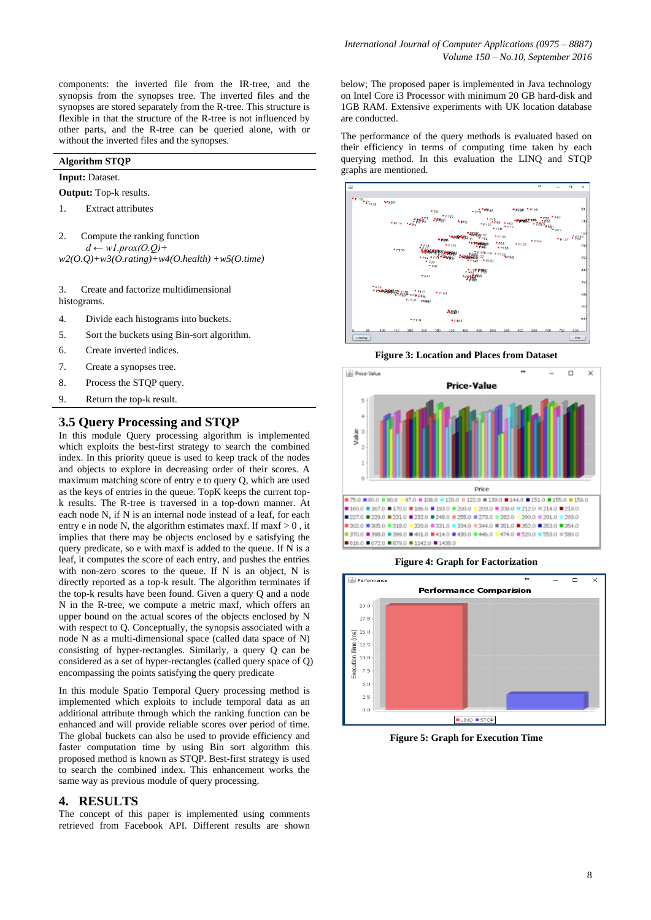### **Algorithm STQP**

#### **Input:** Dataset.

**Output:** Top-k results.

- 1. Extract attributes
- 2. Compute the ranking function  $d \leftarrow w1 \cdot prox(O.O) +$ *w2(O.Q)+w3(O.rating)+w4(O.health) +w5(O.time)*

3. Create and factorize multidimensional histograms.

- 4. Divide each histograms into buckets.
- 5. Sort the buckets using Bin-sort algorithm.
- 6. Create inverted indices.
- 7. Create a synopses tree.
- 8. Process the STQP query.
- 9. Return the top-k result.

## **3.5 Query Processing and STQP**

In this module Query processing algorithm is implemented which exploits the best-first strategy to search the combined index. In this priority queue is used to keep track of the nodes and objects to explore in decreasing order of their scores. A maximum matching score of entry e to query Q, which are used as the keys of entries in the queue. TopK keeps the current topk results. The R-tree is traversed in a top-down manner. At each node N, if N is an internal node instead of a leaf, for each entry **e** in node N, the algorithm estimates maxf. If maxf  $>0$  , it implies that there may be objects enclosed by e satisfying the query predicate, so e with maxf is added to the queue. If N is a leaf, it computes the score of each entry, and pushes the entries with non-zero scores to the queue. If N is an object, N is directly reported as a top-k result. The algorithm terminates if the top-k results have been found. Given a query Q and a node N in the R-tree, we compute a metric maxf, which offers an upper bound on the actual scores of the objects enclosed by N with respect to Q. Conceptually, the synopsis associated with a node N as a multi-dimensional space (called data space of N) consisting of hyper-rectangles. Similarly, a query Q can be considered as a set of hyper-rectangles (called query space of Q) encompassing the points satisfying the query predicate

In this module Spatio Temporal Query processing method is implemented which exploits to include temporal data as an additional attribute through which the ranking function can be enhanced and will provide reliable scores over period of time. The global buckets can also be used to provide efficiency and faster computation time by using Bin sort algorithm this proposed method is known as STQP. Best-first strategy is used to search the combined index. This enhancement works the same way as previous module of query processing.

#### **4. RESULTS**

The concept of this paper is implemented using comments retrieved from Facebook API. Different results are shown below; The proposed paper is implemented in Java technology on Intel Core i3 Processor with minimum 20 GB hard-disk and 1GB RAM. Extensive experiments with UK location database are conducted.

The performance of the query methods is evaluated based on their efficiency in terms of computing time taken by each querying method. In this evaluation the LINQ and STQP graphs are mentioned.



**Figure 3: Location and Places from Dataset**



**Figure 4: Graph for Factorization**



**Figure 5: Graph for Execution Time**